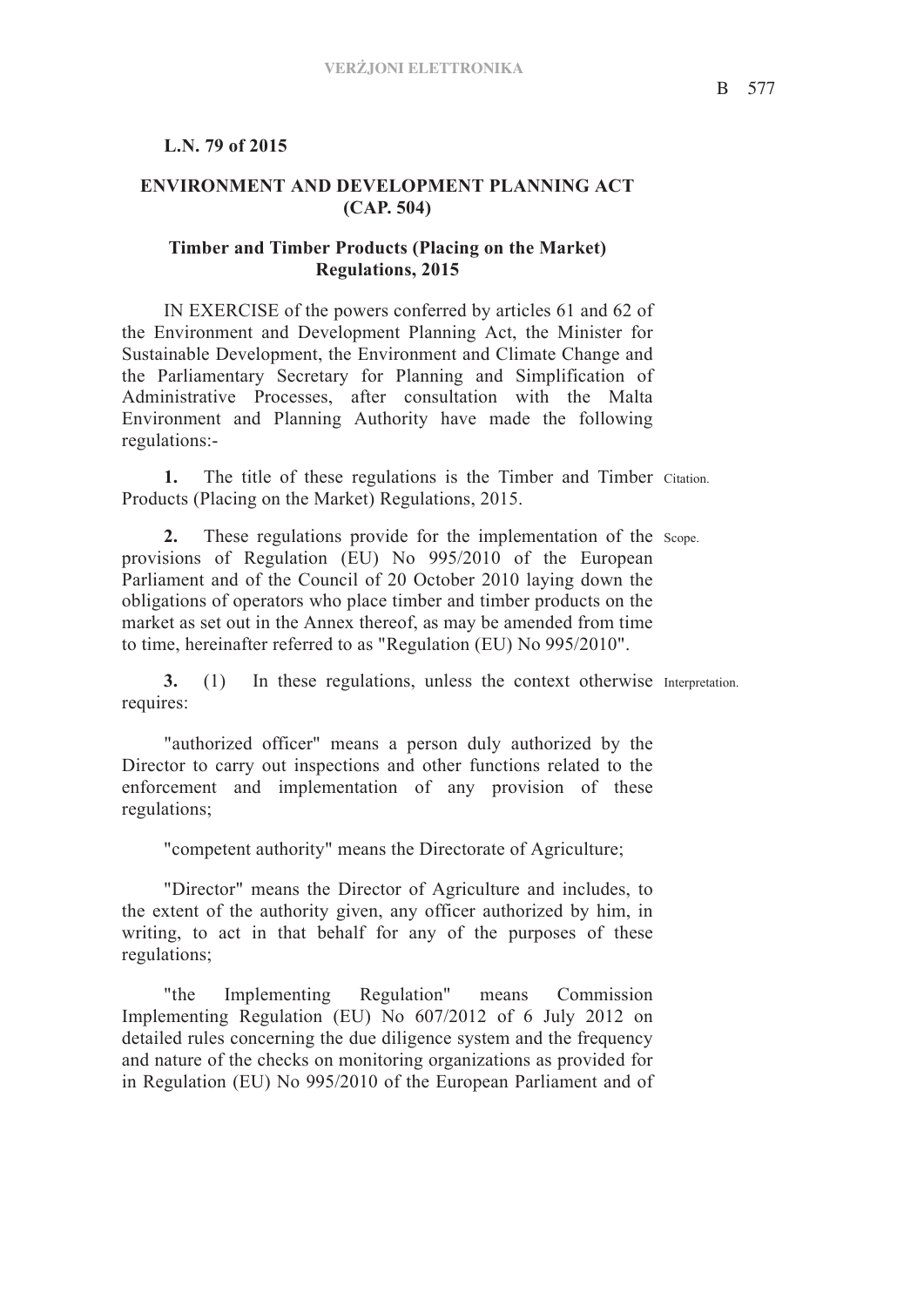## **L.N. 79 of 2015**

## **ENVIRONMENT AND DEVELOPMENT PLANNING ACT (CAP. 504)**

## **Timber and Timber Products (Placing on the Market) Regulations, 2015**

IN EXERCISE of the powers conferred by articles 61 and 62 of the Environment and Development Planning Act, the Minister for Sustainable Development, the Environment and Climate Change and the Parliamentary Secretary for Planning and Simplification of Administrative Processes, after consultation with the Malta Environment and Planning Authority have made the following regulations:-

1. The title of these regulations is the Timber and Timber Citation. Products (Placing on the Market) Regulations, 2015.

2. These regulations provide for the implementation of the scope. provisions of Regulation (EU) No 995/2010 of the European Parliament and of the Council of 20 October 2010 laying down the obligations of operators who place timber and timber products on the market as set out in the Annex thereof, as may be amended from time to time, hereinafter referred to as "Regulation (EU) No 995/2010".

**3.** (1) In these regulations, unless the context otherwise Interpretation. requires:

"authorized officer" means a person duly authorized by the Director to carry out inspections and other functions related to the enforcement and implementation of any provision of these regulations;

"competent authority" means the Directorate of Agriculture;

"Director" means the Director of Agriculture and includes, to the extent of the authority given, any officer authorized by him, in writing, to act in that behalf for any of the purposes of these regulations;

"the Implementing Regulation" means Commission Implementing Regulation (EU) No 607/2012 of 6 July 2012 on detailed rules concerning the due diligence system and the frequency and nature of the checks on monitoring organizations as provided for in Regulation (EU) No 995/2010 of the European Parliament and of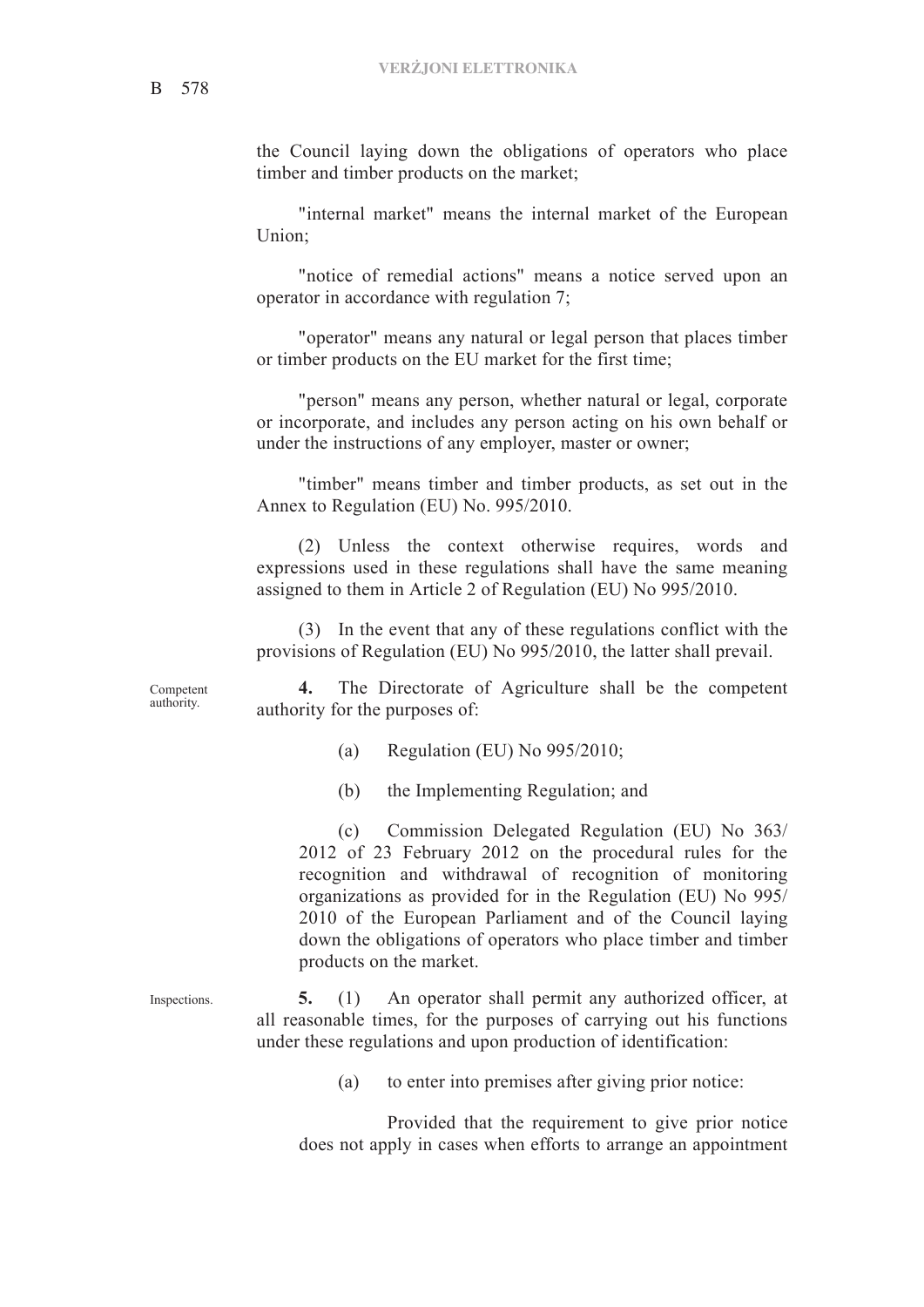the Council laying down the obligations of operators who place timber and timber products on the market;

"internal market" means the internal market of the European Union;

"notice of remedial actions" means a notice served upon an operator in accordance with regulation 7;

"operator" means any natural or legal person that places timber or timber products on the EU market for the first time;

"person" means any person, whether natural or legal, corporate or incorporate, and includes any person acting on his own behalf or under the instructions of any employer, master or owner;

"timber" means timber and timber products, as set out in the Annex to Regulation (EU) No. 995/2010.

(2) Unless the context otherwise requires, words and expressions used in these regulations shall have the same meaning assigned to them in Article 2 of Regulation (EU) No 995/2010.

(3) In the event that any of these regulations conflict with the provisions of Regulation (EU) No 995/2010, the latter shall prevail.

Competent authority.

**4.** The Directorate of Agriculture shall be the competent authority for the purposes of:

(a) Regulation (EU) No 995/2010;

(b) the Implementing Regulation; and

(c) Commission Delegated Regulation (EU) No 363/ 2012 of 23 February 2012 on the procedural rules for the recognition and withdrawal of recognition of monitoring organizations as provided for in the Regulation (EU) No 995/ 2010 of the European Parliament and of the Council laying down the obligations of operators who place timber and timber products on the market.

Inspections. **5.** (1) An operator shall permit any authorized officer, at all reasonable times, for the purposes of carrying out his functions under these regulations and upon production of identification:

(a) to enter into premises after giving prior notice:

Provided that the requirement to give prior notice does not apply in cases when efforts to arrange an appointment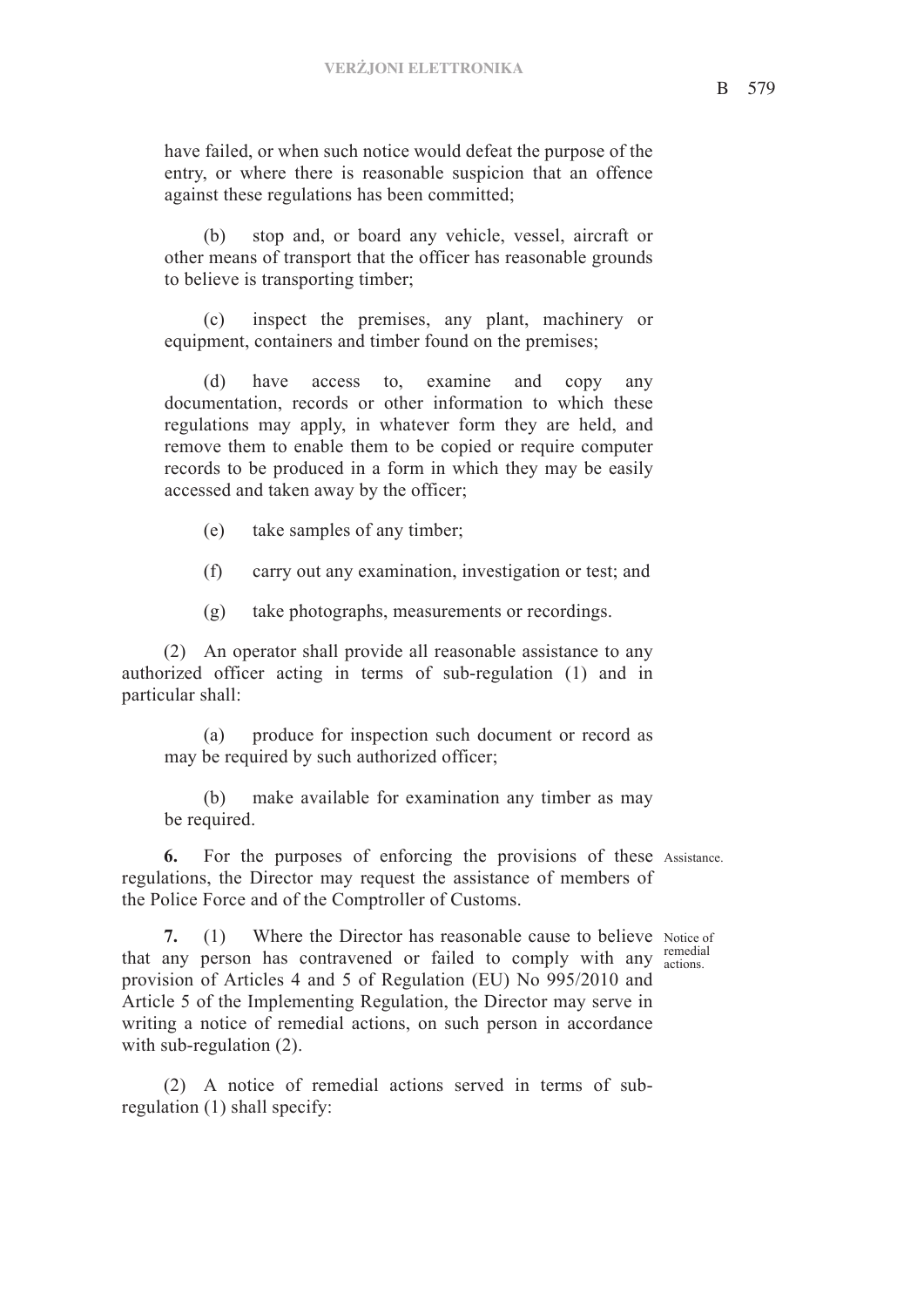have failed, or when such notice would defeat the purpose of the entry, or where there is reasonable suspicion that an offence against these regulations has been committed;

(b) stop and, or board any vehicle, vessel, aircraft or other means of transport that the officer has reasonable grounds to believe is transporting timber;

(c) inspect the premises, any plant, machinery or equipment, containers and timber found on the premises;

(d) have access to, examine and copy any documentation, records or other information to which these regulations may apply, in whatever form they are held, and remove them to enable them to be copied or require computer records to be produced in a form in which they may be easily accessed and taken away by the officer;

(e) take samples of any timber;

(f) carry out any examination, investigation or test; and

(g) take photographs, measurements or recordings.

(2) An operator shall provide all reasonable assistance to any authorized officer acting in terms of sub-regulation (1) and in particular shall:

(a) produce for inspection such document or record as may be required by such authorized officer;

(b) make available for examination any timber as may be required.

**6.** For the purposes of enforcing the provisions of these Assistance. regulations, the Director may request the assistance of members of the Police Force and of the Comptroller of Customs.

remedial

7. (1) Where the Director has reasonable cause to believe Notice of that any person has contravened or failed to comply with any  $\frac{\text{remedia}}{\text{actions}}$ provision of Articles 4 and 5 of Regulation (EU) No 995/2010 and Article 5 of the Implementing Regulation, the Director may serve in writing a notice of remedial actions, on such person in accordance with sub-regulation  $(2)$ .

(2) A notice of remedial actions served in terms of subregulation (1) shall specify: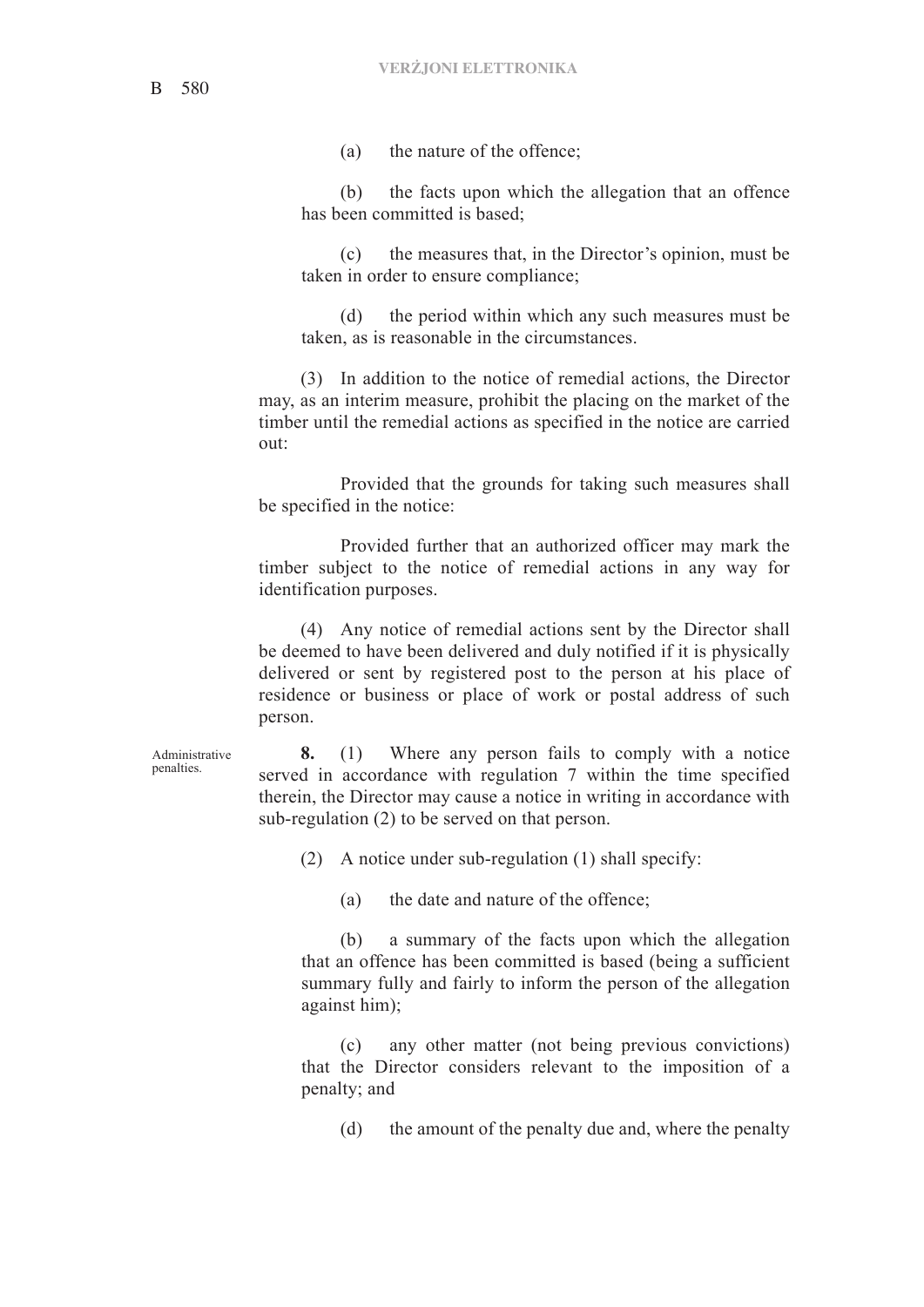(a) the nature of the offence;

(b) the facts upon which the allegation that an offence has been committed is based;

(c) the measures that, in the Director's opinion, must be taken in order to ensure compliance;

(d) the period within which any such measures must be taken, as is reasonable in the circumstances.

(3) In addition to the notice of remedial actions, the Director may, as an interim measure, prohibit the placing on the market of the timber until the remedial actions as specified in the notice are carried out:

Provided that the grounds for taking such measures shall be specified in the notice:

Provided further that an authorized officer may mark the timber subject to the notice of remedial actions in any way for identification purposes.

(4) Any notice of remedial actions sent by the Director shall be deemed to have been delivered and duly notified if it is physically delivered or sent by registered post to the person at his place of residence or business or place of work or postal address of such person.

Administrative penalties.

**8.** (1) Where any person fails to comply with a notice served in accordance with regulation 7 within the time specified therein, the Director may cause a notice in writing in accordance with sub-regulation (2) to be served on that person.

(2) A notice under sub-regulation (1) shall specify:

(a) the date and nature of the offence;

(b) a summary of the facts upon which the allegation that an offence has been committed is based (being a sufficient summary fully and fairly to inform the person of the allegation against him);

(c) any other matter (not being previous convictions) that the Director considers relevant to the imposition of a penalty; and

(d) the amount of the penalty due and, where the penalty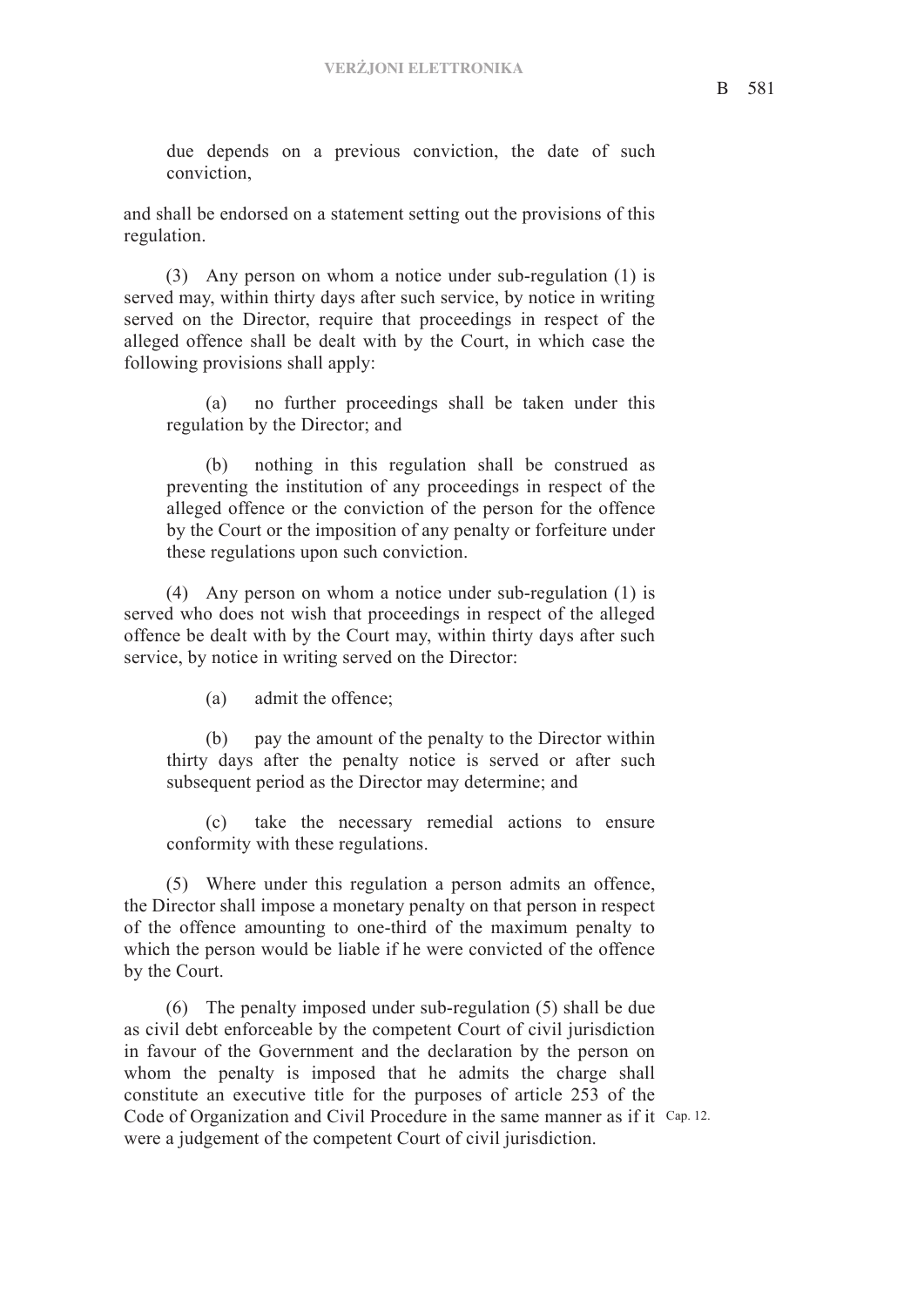due depends on a previous conviction, the date of such conviction,

and shall be endorsed on a statement setting out the provisions of this regulation.

(3) Any person on whom a notice under sub-regulation (1) is served may, within thirty days after such service, by notice in writing served on the Director, require that proceedings in respect of the alleged offence shall be dealt with by the Court, in which case the following provisions shall apply:

(a) no further proceedings shall be taken under this regulation by the Director; and

(b) nothing in this regulation shall be construed as preventing the institution of any proceedings in respect of the alleged offence or the conviction of the person for the offence by the Court or the imposition of any penalty or forfeiture under these regulations upon such conviction.

(4) Any person on whom a notice under sub-regulation (1) is served who does not wish that proceedings in respect of the alleged offence be dealt with by the Court may, within thirty days after such service, by notice in writing served on the Director:

(a) admit the offence;

(b) pay the amount of the penalty to the Director within thirty days after the penalty notice is served or after such subsequent period as the Director may determine; and

(c) take the necessary remedial actions to ensure conformity with these regulations.

(5) Where under this regulation a person admits an offence, the Director shall impose a monetary penalty on that person in respect of the offence amounting to one-third of the maximum penalty to which the person would be liable if he were convicted of the offence by the Court.

Code of Organization and Civil Procedure in the same manner as if it Cap. 12. (6) The penalty imposed under sub-regulation (5) shall be due as civil debt enforceable by the competent Court of civil jurisdiction in favour of the Government and the declaration by the person on whom the penalty is imposed that he admits the charge shall constitute an executive title for the purposes of article 253 of the were a judgement of the competent Court of civil jurisdiction.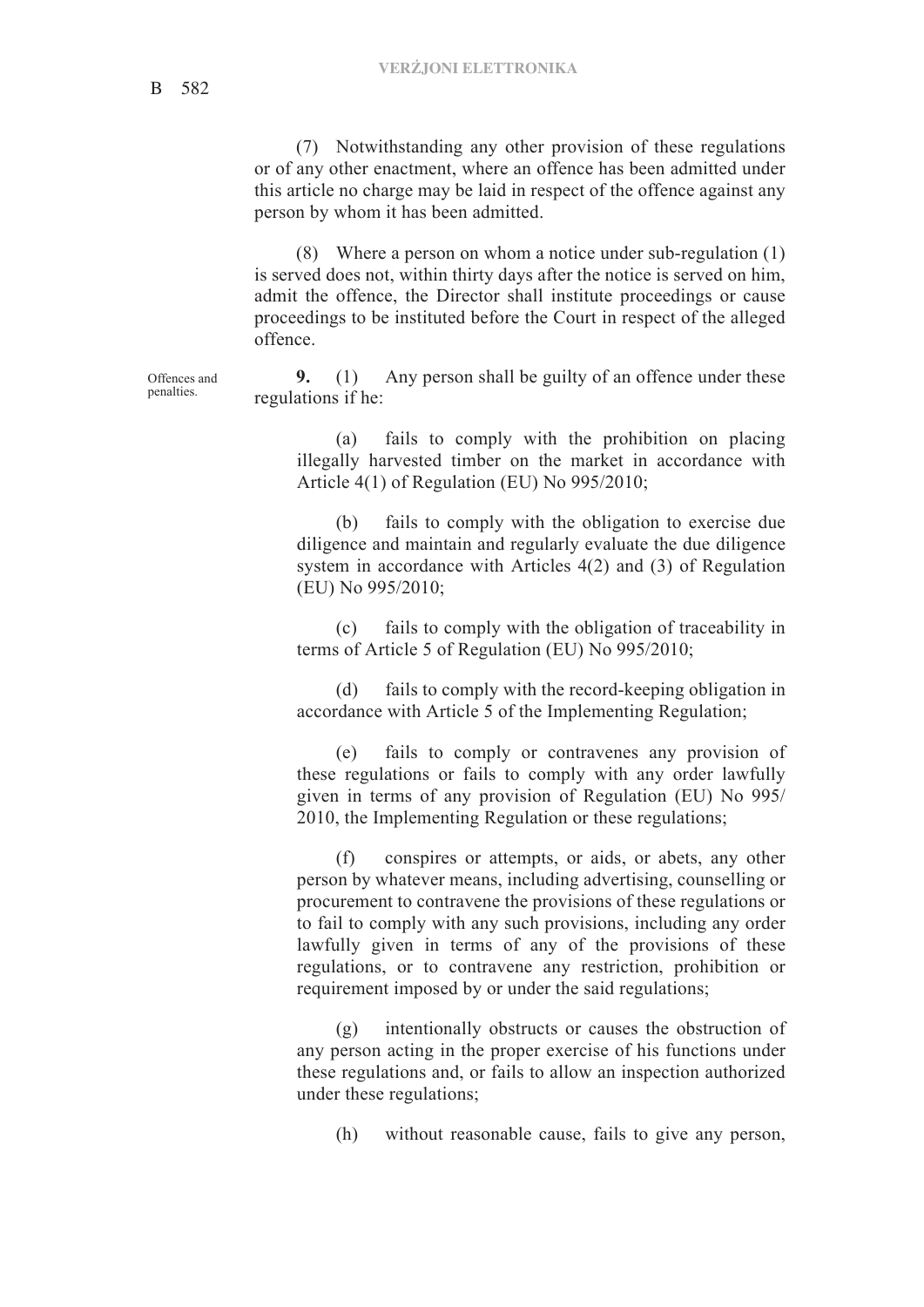(7) Notwithstanding any other provision of these regulations or of any other enactment, where an offence has been admitted under this article no charge may be laid in respect of the offence against any person by whom it has been admitted.

(8) Where a person on whom a notice under sub-regulation (1) is served does not, within thirty days after the notice is served on him, admit the offence, the Director shall institute proceedings or cause proceedings to be instituted before the Court in respect of the alleged offence.

**9.** (1) Any person shall be guilty of an offence under these regulations if he:

(a) fails to comply with the prohibition on placing illegally harvested timber on the market in accordance with Article 4(1) of Regulation (EU) No 995/2010;

(b) fails to comply with the obligation to exercise due diligence and maintain and regularly evaluate the due diligence system in accordance with Articles 4(2) and (3) of Regulation (EU) No 995/2010;

(c) fails to comply with the obligation of traceability in terms of Article 5 of Regulation (EU) No 995/2010;

(d) fails to comply with the record-keeping obligation in accordance with Article 5 of the Implementing Regulation;

(e) fails to comply or contravenes any provision of these regulations or fails to comply with any order lawfully given in terms of any provision of Regulation (EU) No 995/ 2010, the Implementing Regulation or these regulations;

(f) conspires or attempts, or aids, or abets, any other person by whatever means, including advertising, counselling or procurement to contravene the provisions of these regulations or to fail to comply with any such provisions, including any order lawfully given in terms of any of the provisions of these regulations, or to contravene any restriction, prohibition or requirement imposed by or under the said regulations;

(g) intentionally obstructs or causes the obstruction of any person acting in the proper exercise of his functions under these regulations and, or fails to allow an inspection authorized under these regulations;

(h) without reasonable cause, fails to give any person,

Offences and penalties.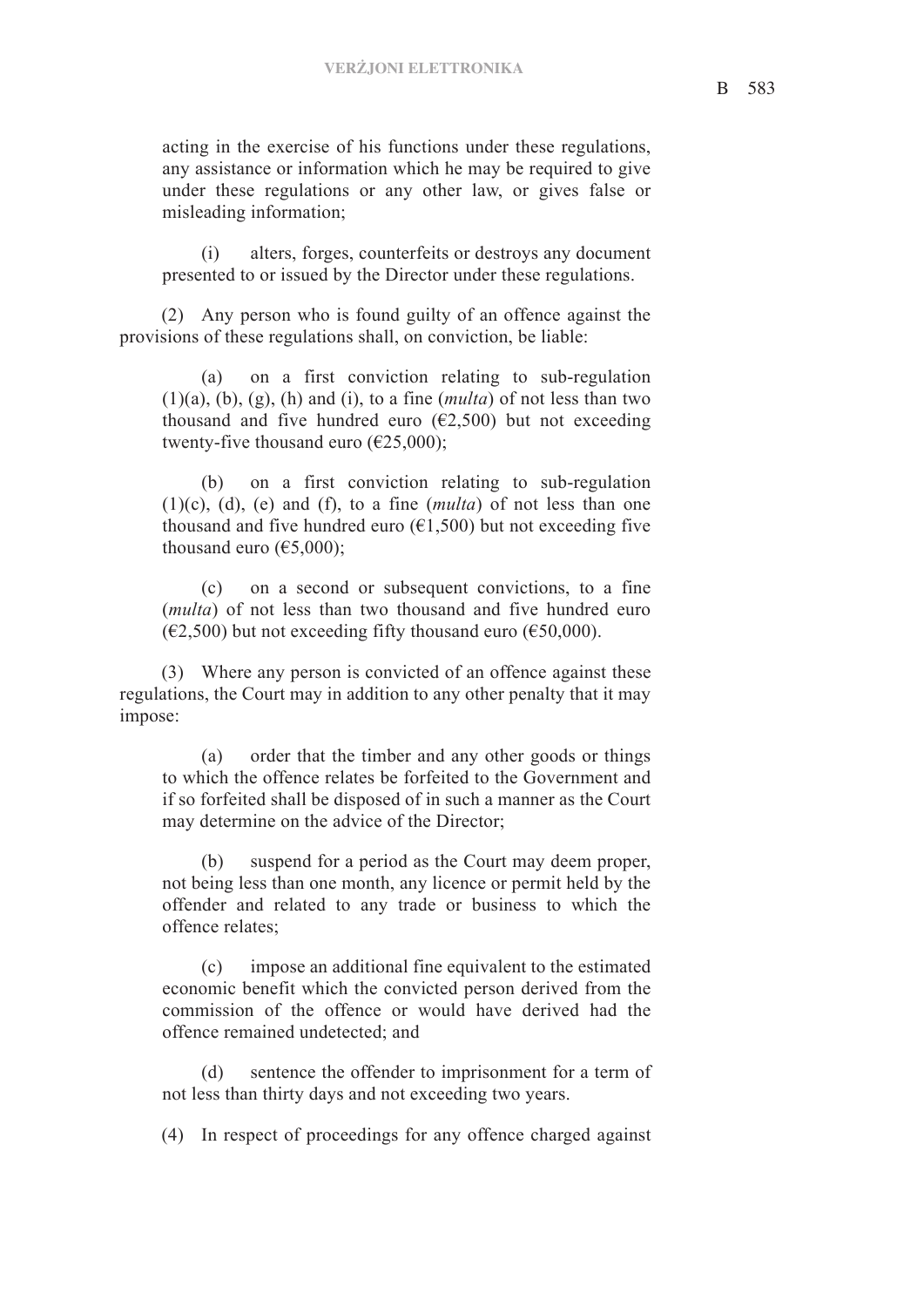acting in the exercise of his functions under these regulations, any assistance or information which he may be required to give under these regulations or any other law, or gives false or misleading information;

(i) alters, forges, counterfeits or destroys any document presented to or issued by the Director under these regulations.

(2) Any person who is found guilty of an offence against the provisions of these regulations shall, on conviction, be liable:

(a) on a first conviction relating to sub-regulation  $(1)(a)$ ,  $(b)$ ,  $(g)$ ,  $(h)$  and  $(i)$ , to a fine  $(multa)$  of not less than two thousand and five hundred euro  $(\epsilon 2, 500)$  but not exceeding twenty-five thousand euro ( $\epsilon$ 25,000);

(b) on a first conviction relating to sub-regulation (1)(c), (d), (e) and (f), to a fine (*multa*) of not less than one thousand and five hundred euro  $(€1,500)$  but not exceeding five thousand euro  $(65,000)$ ;

(c) on a second or subsequent convictions, to a fine (*multa*) of not less than two thousand and five hundred euro  $(\text{\textsterling}2,500)$  but not exceeding fifty thousand euro ( $\text{\textsterling}50,000$ ).

(3) Where any person is convicted of an offence against these regulations, the Court may in addition to any other penalty that it may impose:

(a) order that the timber and any other goods or things to which the offence relates be forfeited to the Government and if so forfeited shall be disposed of in such a manner as the Court may determine on the advice of the Director;

(b) suspend for a period as the Court may deem proper, not being less than one month, any licence or permit held by the offender and related to any trade or business to which the offence relates;

(c) impose an additional fine equivalent to the estimated economic benefit which the convicted person derived from the commission of the offence or would have derived had the offence remained undetected; and

(d) sentence the offender to imprisonment for a term of not less than thirty days and not exceeding two years.

(4) In respect of proceedings for any offence charged against